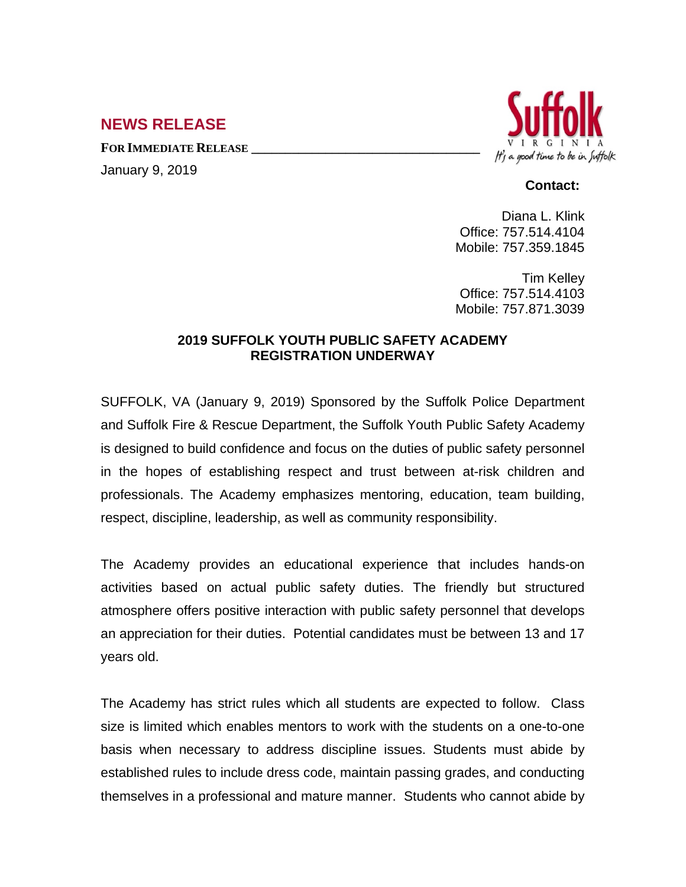## **NEWS RELEASE**

**FOR IMMEDIATE RELEASE \_\_\_\_\_\_\_\_\_\_\_\_\_\_\_\_\_\_\_\_\_\_\_\_\_\_\_\_\_\_\_\_\_\_**

January 9, 2019



## **Contact:**

Diana L. Klink Office: 757.514.4104 Mobile: 757.359.1845

Tim Kelley Office: 757.514.4103 Mobile: 757.871.3039

## **2019 SUFFOLK YOUTH PUBLIC SAFETY ACADEMY REGISTRATION UNDERWAY**

SUFFOLK, VA (January 9, 2019) Sponsored by the Suffolk Police Department and Suffolk Fire & Rescue Department, the Suffolk Youth Public Safety Academy is designed to build confidence and focus on the duties of public safety personnel in the hopes of establishing respect and trust between at-risk children and professionals. The Academy emphasizes mentoring, education, team building, respect, discipline, leadership, as well as community responsibility.

The Academy provides an educational experience that includes hands-on activities based on actual public safety duties. The friendly but structured atmosphere offers positive interaction with public safety personnel that develops an appreciation for their duties. Potential candidates must be between 13 and 17 years old.

The Academy has strict rules which all students are expected to follow. Class size is limited which enables mentors to work with the students on a one-to-one basis when necessary to address discipline issues. Students must abide by established rules to include dress code, maintain passing grades, and conducting themselves in a professional and mature manner. Students who cannot abide by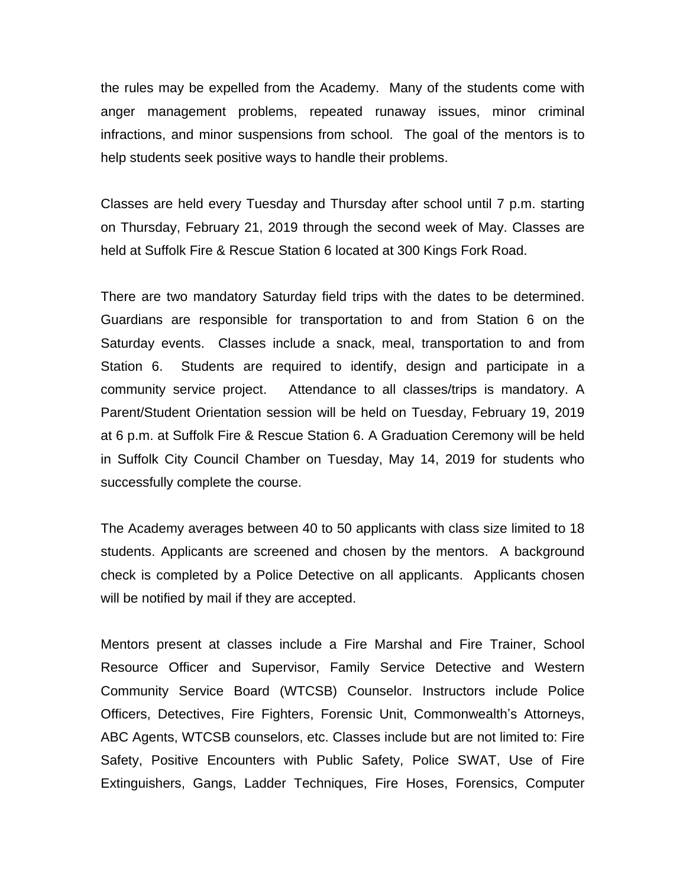the rules may be expelled from the Academy. Many of the students come with anger management problems, repeated runaway issues, minor criminal infractions, and minor suspensions from school. The goal of the mentors is to help students seek positive ways to handle their problems.

Classes are held every Tuesday and Thursday after school until 7 p.m. starting on Thursday, February 21, 2019 through the second week of May. Classes are held at Suffolk Fire & Rescue Station 6 located at 300 Kings Fork Road.

There are two mandatory Saturday field trips with the dates to be determined. Guardians are responsible for transportation to and from Station 6 on the Saturday events. Classes include a snack, meal, transportation to and from Station 6. Students are required to identify, design and participate in a community service project. Attendance to all classes/trips is mandatory. A Parent/Student Orientation session will be held on Tuesday, February 19, 2019 at 6 p.m. at Suffolk Fire & Rescue Station 6. A Graduation Ceremony will be held in Suffolk City Council Chamber on Tuesday, May 14, 2019 for students who successfully complete the course.

The Academy averages between 40 to 50 applicants with class size limited to 18 students. Applicants are screened and chosen by the mentors. A background check is completed by a Police Detective on all applicants. Applicants chosen will be notified by mail if they are accepted.

Mentors present at classes include a Fire Marshal and Fire Trainer, School Resource Officer and Supervisor, Family Service Detective and Western Community Service Board (WTCSB) Counselor. Instructors include Police Officers, Detectives, Fire Fighters, Forensic Unit, Commonwealth's Attorneys, ABC Agents, WTCSB counselors, etc. Classes include but are not limited to: Fire Safety, Positive Encounters with Public Safety, Police SWAT, Use of Fire Extinguishers, Gangs, Ladder Techniques, Fire Hoses, Forensics, Computer